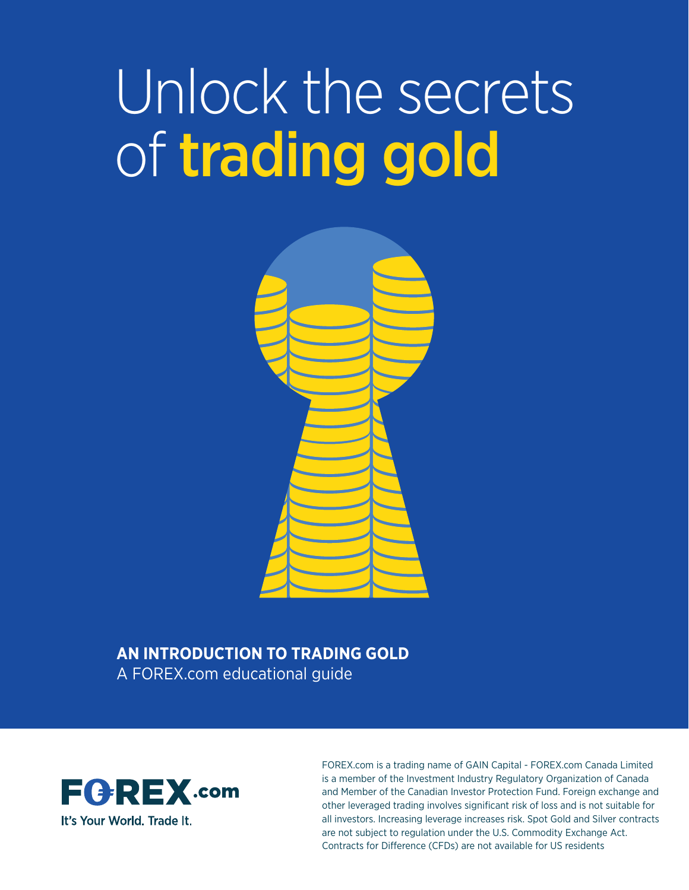# Unlock the secrets of trading gold



#### **AN INTRODUCTION TO TRADING GOLD** A FOREX.com educational guide



FOREX.com is a trading name of GAIN Capital - FOREX.com Canada Limited is a member of the Investment Industry Regulatory Organization of Canada and Member of the Canadian Investor Protection Fund. Foreign exchange and other leveraged trading involves significant risk of loss and is not suitable for all investors. Increasing leverage increases risk. Spot Gold and Silver contracts are not subject to regulation under the U.S. Commodity Exchange Act. Contracts for Difference (CFDs) are not available for US residents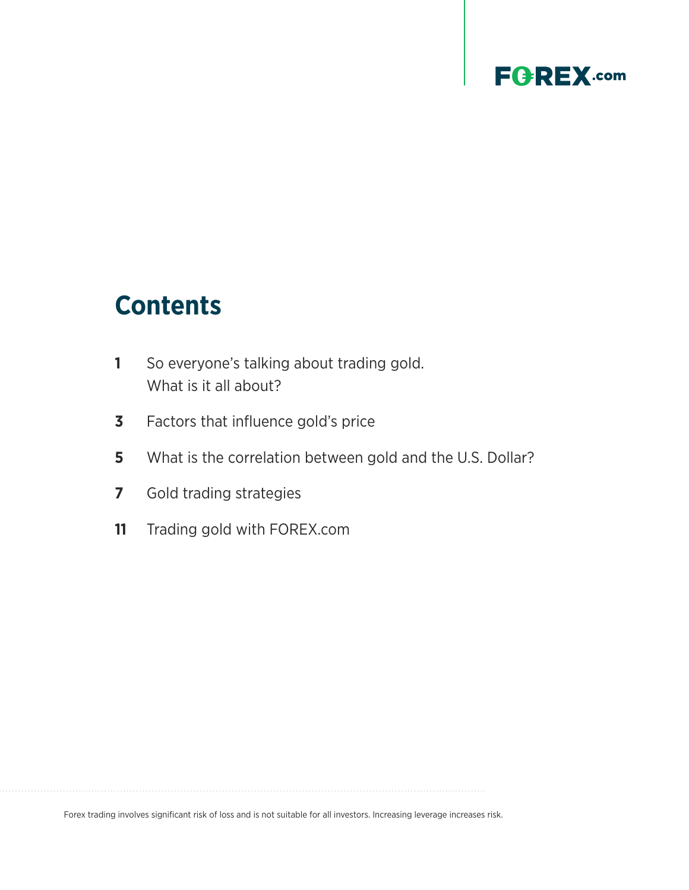# **Contents**

- **1** [So everyone's talking about trading gold.](#page-2-0)  [What is it all about?](#page-2-0)
- **3** [Factors that influence gold's price](#page-4-0)
- **5** [What is the correlation between gold and the U.S. Dollar?](#page-6-0)
- **7** [Gold trading strategies](#page-8-0)
- **11** [Trading gold with FOREX.com](#page-12-0)

Forex trading involves significant risk of loss and is not suitable for all investors. Increasing leverage increases risk.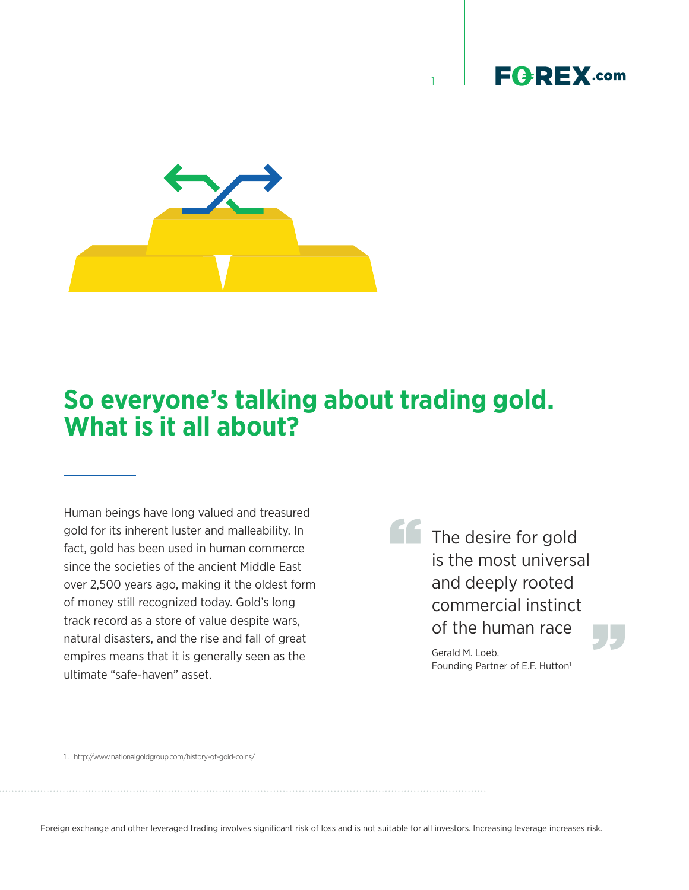

1

<span id="page-2-0"></span>

# **So everyone's talking about trading gold. What is it all about?**

Human beings have long valued and treasured gold for its inherent luster and malleability. In fact, gold has been used in human commerce since the societies of the ancient Middle East over 2,500 years ago, making it the oldest form of money still recognized today. Gold's long track record as a store of value despite wars, natural disasters, and the rise and fall of great empires means that it is generally seen as the ultimate "safe-haven" asset.

The desire for gold is the most universal and deeply rooted commercial instinct ''

Of the human race<br>
Gerald M. Loeb,<br>Founding Partner of E.F. Hutton<sup>1</sup> Gerald M. Loeb,

1 . http://www.nationalgoldgroup.com/history-of-gold-coins/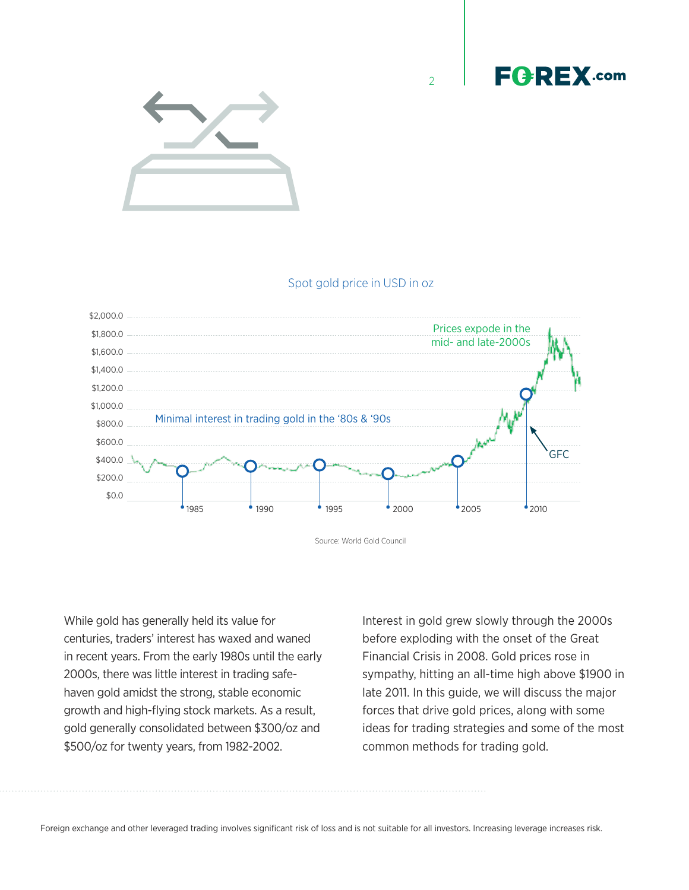



#### Spot gold price in USD in oz

 $\overline{2}$ 



Source: World Gold Council

While gold has generally held its value for centuries, traders' interest has waxed and waned in recent years. From the early 1980s until the early 2000s, there was little interest in trading safehaven gold amidst the strong, stable economic growth and high-flying stock markets. As a result, gold generally consolidated between \$300/oz and \$500/oz for twenty years, from 1982-2002.

Interest in gold grew slowly through the 2000s before exploding with the onset of the Great Financial Crisis in 2008. Gold prices rose in sympathy, hitting an all-time high above \$1900 in late 2011. In this guide, we will discuss the major forces that drive gold prices, along with some ideas for trading strategies and some of the most common methods for trading gold.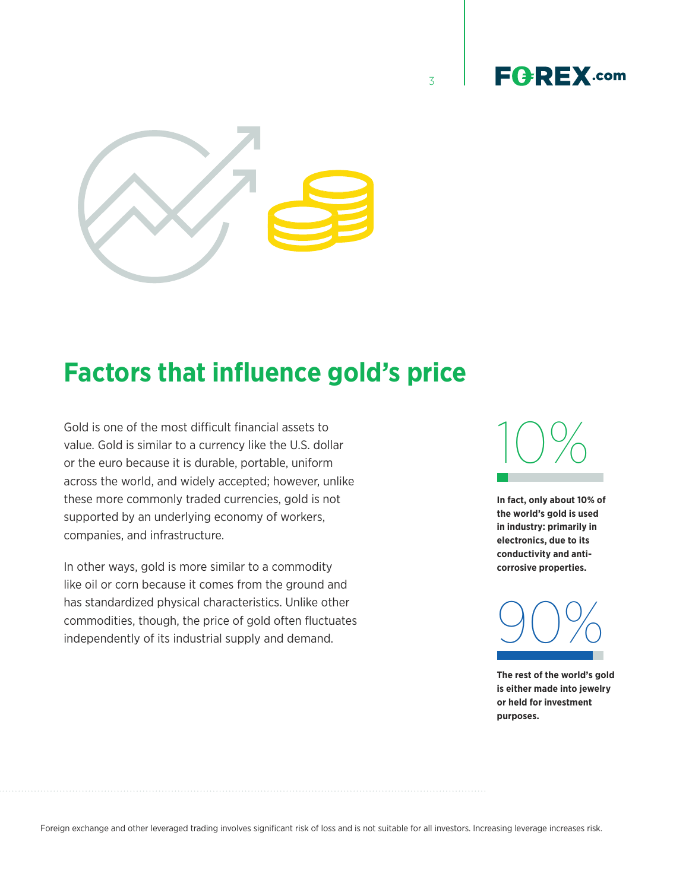<span id="page-4-0"></span>

# **Factors that influence gold's price**

Gold is one of the most difficult financial assets to value. Gold is similar to a currency like the U.S. dollar or the euro because it is durable, portable, uniform across the world, and widely accepted; however, unlike these more commonly traded currencies, gold is not supported by an underlying economy of workers, companies, and infrastructure.

In other ways, gold is more similar to a commodity like oil or corn because it comes from the ground and has standardized physical characteristics. Unlike other commodities, though, the price of gold often fluctuates independently of its industrial supply and demand.



**FGREX.com** 

3

**In fact, only about 10% of the world's gold is used in industry: primarily in electronics, due to its conductivity and anticorrosive properties.** 



**The rest of the world's gold is either made into jewelry or held for investment purposes.**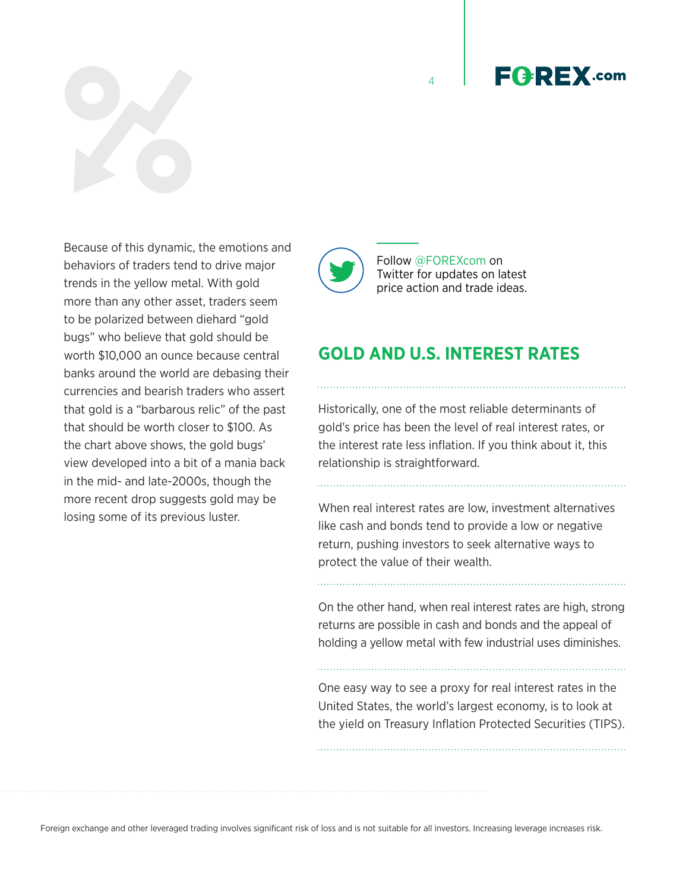Because of this dynamic, the emotions and behaviors of traders tend to drive major trends in the yellow metal. With gold more than any other asset, traders seem to be polarized between diehard "gold bugs" who believe that gold should be worth \$10,000 an ounce because central banks around the world are debasing their currencies and bearish traders who assert that gold is a "barbarous relic" of the past that should be worth closer to \$100. As the chart above shows, the gold bugs' view developed into a bit of a mania back in the mid- and late-2000s, though the more recent drop suggests gold may be losing some of its previous luster.



4

**GOLD AND U.S. INTEREST RATES**

Historically, one of the most reliable determinants of gold's price has been the level of real interest rates, or the interest rate less inflation. If you think about it, this relationship is straightforward.

When real interest rates are low, investment alternatives like cash and bonds tend to provide a low or negative return, pushing investors to seek alternative ways to protect the value of their wealth.

On the other hand, when real interest rates are high, strong returns are possible in cash and bonds and the appeal of holding a yellow metal with few industrial uses diminishes.

One easy way to see a proxy for real interest rates in the United States, the world's largest economy, is to look at the yield on Treasury Inflation Protected Securities (TIPS).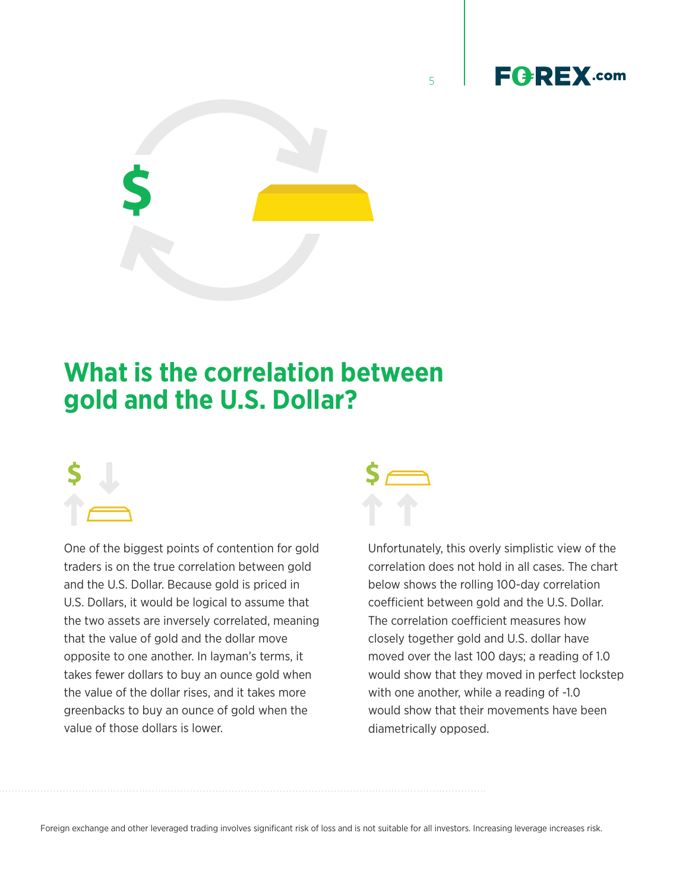

<span id="page-6-0"></span>

# **What is the correlation between gold and the U.S. Dollar?**



One of the biggest points of contention for gold traders is on the true correlation between gold and the U.S. Dollar. Because gold is priced in U.S. Dollars, it would be logical to assume that the two assets are inversely correlated, meaning that the value of gold and the dollar move opposite to one another. In layman's terms, it takes fewer dollars to buy an ounce gold when the value of the dollar rises, and it takes more greenbacks to buy an ounce of gold when the value of those dollars is lower.



5

Unfortunately, this overly simplistic view of the correlation does not hold in all cases. The chart below shows the rolling 100-day correlation coefficient between gold and the U.S. Dollar. The correlation coefficient measures how closely together gold and U.S. dollar have moved over the last 100 days; a reading of 1.0 would show that they moved in perfect lockstep with one another, while a reading of -1.0 would show that their movements have been diametrically opposed.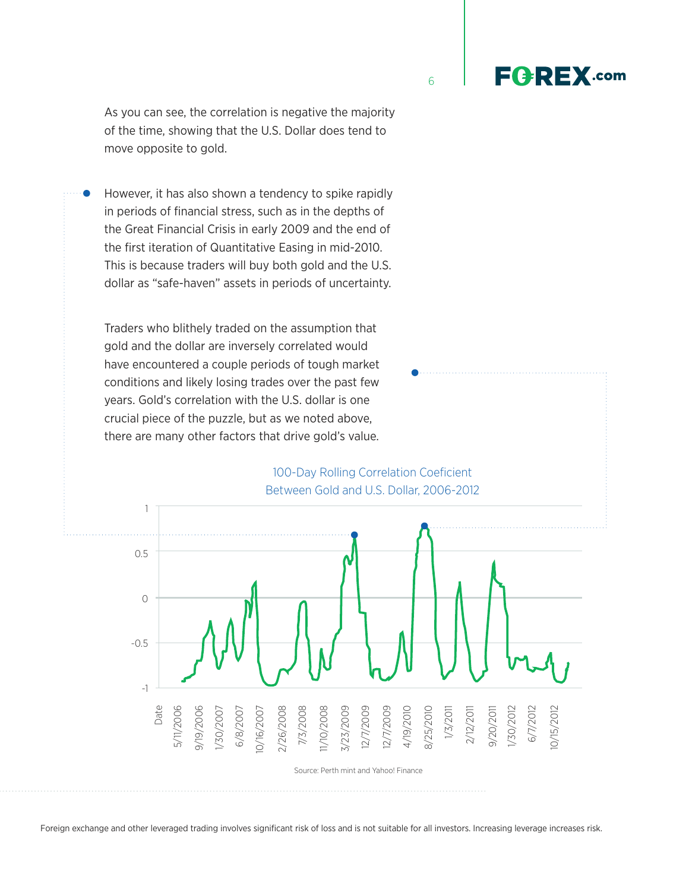As you can see, the correlation is negative the majority of the time, showing that the U.S. Dollar does tend to move opposite to gold.

However, it has also shown a tendency to spike rapidly in periods of financial stress, such as in the depths of the Great Financial Crisis in early 2009 and the end of the first iteration of Quantitative Easing in mid-2010. This is because traders will buy both gold and the U.S. dollar as "safe-haven" assets in periods of uncertainty.

Traders who blithely traded on the assumption that gold and the dollar are inversely correlated would have encountered a couple periods of tough market conditions and likely losing trades over the past few years. Gold's correlation with the U.S. dollar is one crucial piece of the puzzle, but as we noted above, there are many other factors that drive gold's value.

100-Day Rolling Correlation Coeficient Between Gold and U.S. Dollar, 2006-2012







**FGREX.com**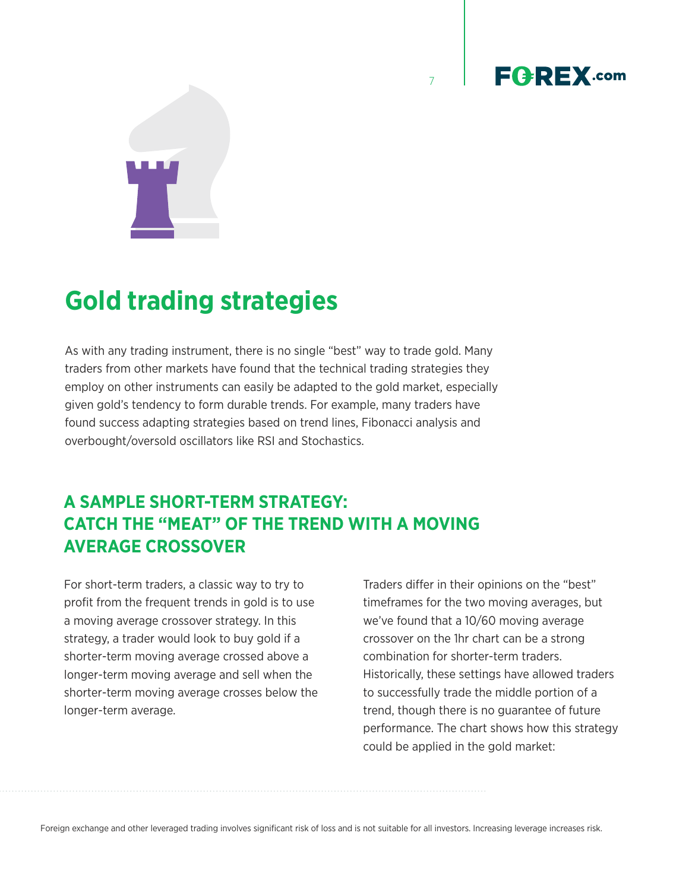<span id="page-8-0"></span>

# **Gold trading strategies**

As with any trading instrument, there is no single "best" way to trade gold. Many traders from other markets have found that the technical trading strategies they employ on other instruments can easily be adapted to the gold market, especially given gold's tendency to form durable trends. For example, many traders have found success adapting strategies based on trend lines, Fibonacci analysis and overbought/oversold oscillators like RSI and Stochastics.

#### **A SAMPLE SHORT-TERM STRATEGY: CATCH THE "MEAT" OF THE TREND WITH A MOVING AVERAGE CROSSOVER**

For short-term traders, a classic way to try to profit from the frequent trends in gold is to use a moving average crossover strategy. In this strategy, a trader would look to buy gold if a shorter-term moving average crossed above a longer-term moving average and sell when the shorter-term moving average crosses below the longer-term average.

Traders differ in their opinions on the "best" timeframes for the two moving averages, but we've found that a 10/60 moving average crossover on the 1hr chart can be a strong combination for shorter-term traders. Historically, these settings have allowed traders to successfully trade the middle portion of a trend, though there is no guarantee of future performance. The chart shows how this strategy could be applied in the gold market:

7

**FGREX.com**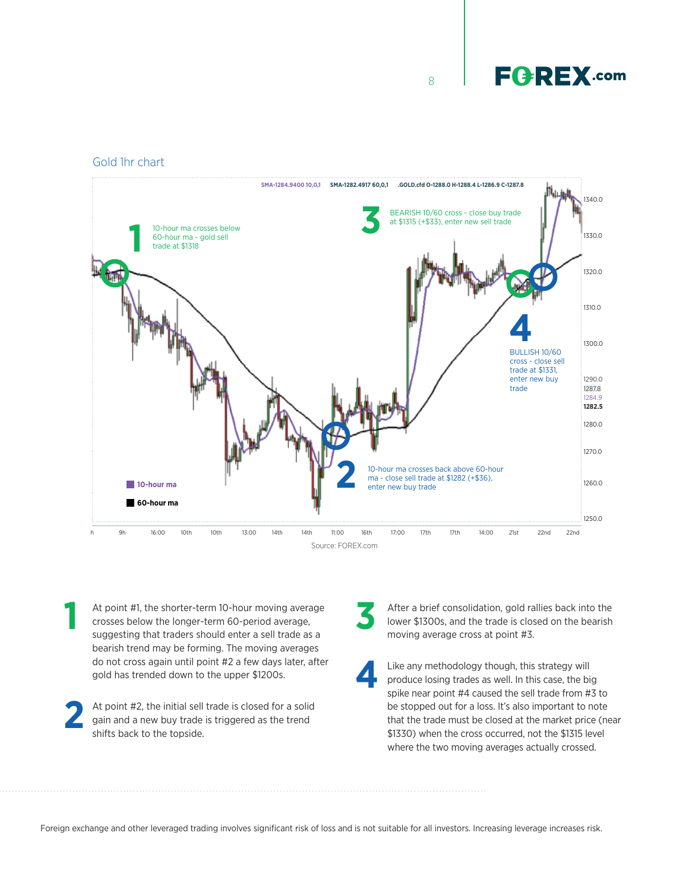8

#### Gold 1hr chart



- At point #1, the shorter-term 10-hour moving average crosses below the longer-term 60-period average, suggesting that traders should enter a sell trade as a bearish trend may be forming. The moving averages do not cross again until point #2 a few days later, after gold has trended down to the upper \$1200s. At point #1, the shorter-term 10-hour moving average<br>
11 After a brief consolidation, gold rallies back into the<br>
1200s, and the trade is closed on the bearish<br>
1300s, and the trade is closed on the bearish<br>
1300s, and the
- At point #2, the initial sell trade is closed for a solid gain and a new buy trade is triggered as the trend shifts back to the topside. **2**

lower \$1300s, and the trade is closed on the bearish moving average cross at point #3. **3**

Like any methodology though, this strategy will produce losing trades as well. In this case, the big spike near point #4 caused the sell trade from #3 to be stopped out for a loss. It's also important to note that the trade must be closed at the market price (near \$1330) when the cross occurred, not the \$1315 level where the two moving averages actually crossed. **4**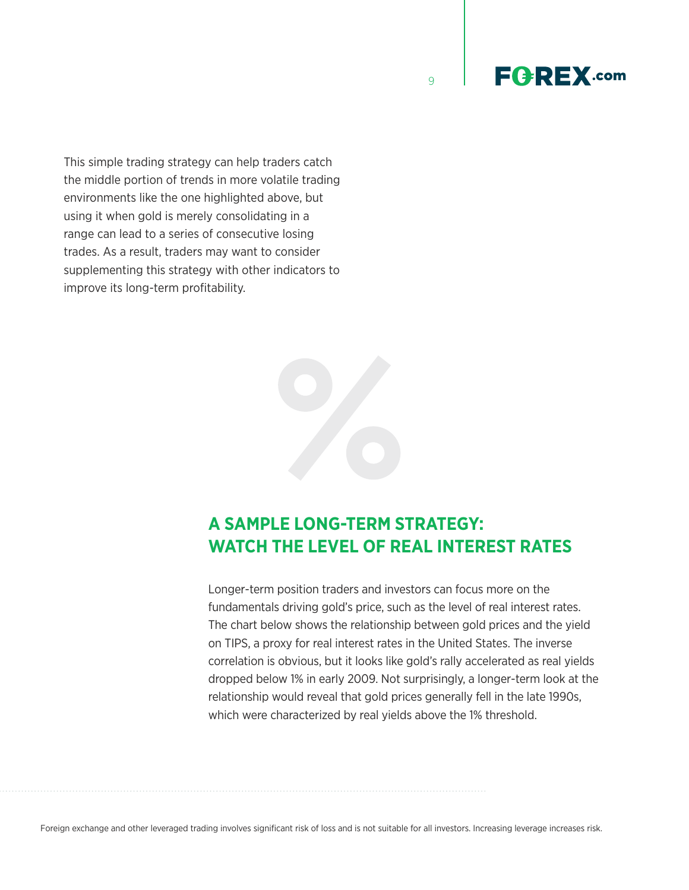9



This simple trading strategy can help traders catch the middle portion of trends in more volatile trading environments like the one highlighted above, but using it when gold is merely consolidating in a range can lead to a series of consecutive losing trades. As a result, traders may want to consider supplementing this strategy with other indicators to improve its long-term profitability.



#### **A SAMPLE LONG-TERM STRATEGY: WATCH THE LEVEL OF REAL INTEREST RATES**

Longer-term position traders and investors can focus more on the fundamentals driving gold's price, such as the level of real interest rates. The chart below shows the relationship between gold prices and the yield on TIPS, a proxy for real interest rates in the United States. The inverse correlation is obvious, but it looks like gold's rally accelerated as real yields dropped below 1% in early 2009. Not surprisingly, a longer-term look at the relationship would reveal that gold prices generally fell in the late 1990s, which were characterized by real yields above the 1% threshold.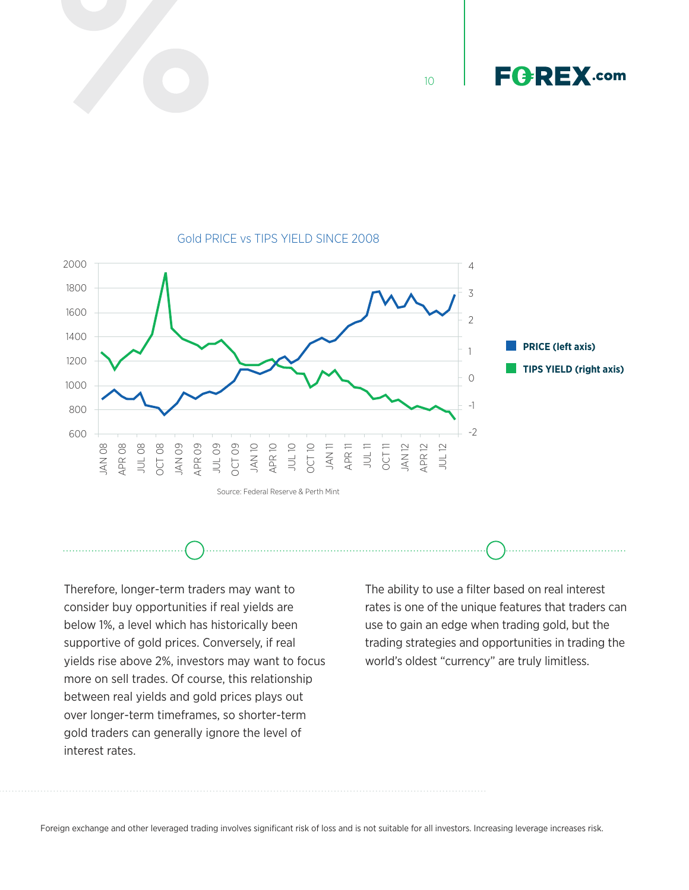

10





#### Gold PRICE vs TIPS YIELD SINCE 2008

Therefore, longer-term traders may want to consider buy opportunities if real yields are below 1%, a level which has historically been supportive of gold prices. Conversely, if real yields rise above 2%, investors may want to focus more on sell trades. Of course, this relationship between real yields and gold prices plays out over longer-term timeframes, so shorter-term gold traders can generally ignore the level of interest rates.

The ability to use a filter based on real interest rates is one of the unique features that traders can use to gain an edge when trading gold, but the trading strategies and opportunities in trading the world's oldest "currency" are truly limitless.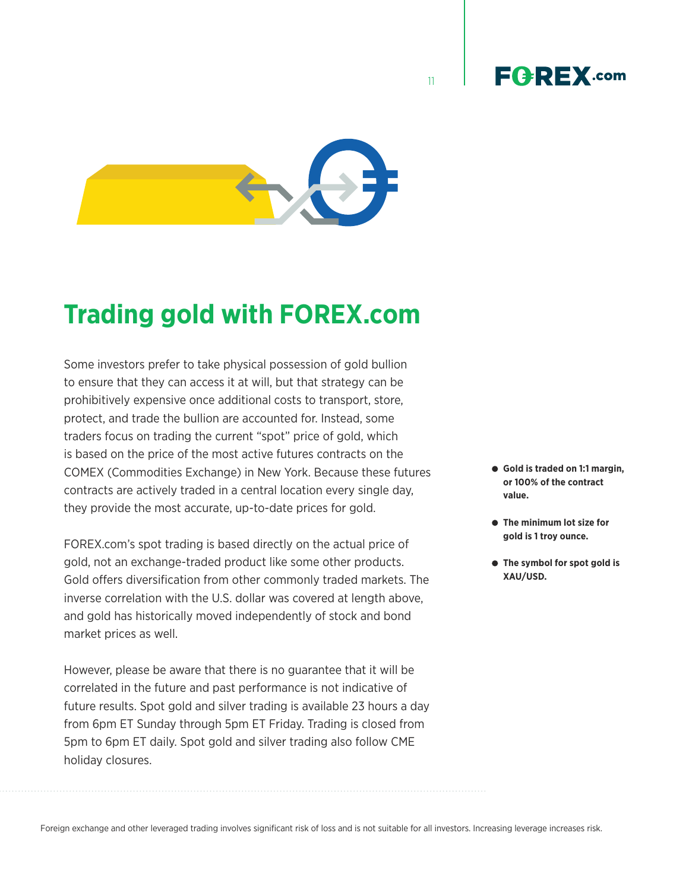

<span id="page-12-0"></span>

# **Trading gold with FOREX.com**

Some investors prefer to take physical possession of gold bullion to ensure that they can access it at will, but that strategy can be prohibitively expensive once additional costs to transport, store, protect, and trade the bullion are accounted for. Instead, some traders focus on trading the current "spot" price of gold, which is based on the price of the most active futures contracts on the COMEX (Commodities Exchange) in New York. Because these futures contracts are actively traded in a central location every single day, they provide the most accurate, up-to-date prices for gold.

FOREX.com's spot trading is based directly on the actual price of gold, not an exchange-traded product like some other products. Gold offers diversification from other commonly traded markets. The inverse correlation with the U.S. dollar was covered at length above, and gold has historically moved independently of stock and bond market prices as well.

However, please be aware that there is no guarantee that it will be correlated in the future and past performance is not indicative of future results. Spot gold and silver trading is available 23 hours a day from 6pm ET Sunday through 5pm ET Friday. Trading is closed from 5pm to 6pm ET daily. Spot gold and silver trading also follow CME holiday closures.

- **Gold is traded on 1:1 margin, or 100% of the contract value.**
- **The minimum lot size for gold is 1 troy ounce.**
- **The symbol for spot gold is XAU/USD.**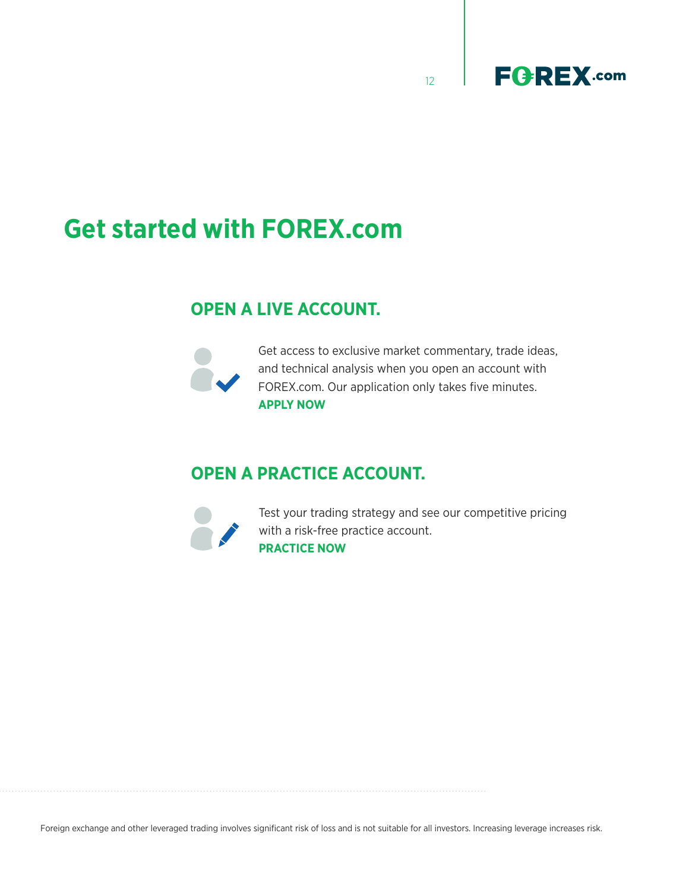



# **Get started with FOREX.com**

#### **OPEN A LIVE ACCOUNT.**



Get access to exclusive market commentary, trade ideas, and technical analysis when you open an account with [FOREX.com.](https://www.forex.com/en-ca/open-an-account) Our application only takes five minutes. **APPLY NOW**

#### **OPEN A PRACTICE ACCOUNT.**



Test your trading strategy and see our competitive pricing with a risk-free practice account. **[PRACTICE NOW](https://www.forex.com/en-ca/open-forextrader-demo-account)**